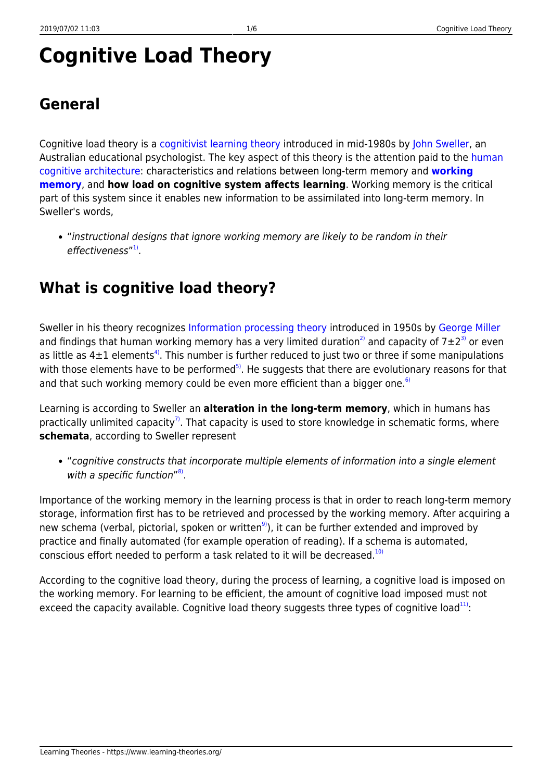# **Cognitive Load Theory**

### **General**

Cognitive load theory is a [cognitivist learning theory](https://www.learning-theories.org/doku.php?id=learning_paradigms:cognitivism#learning_theories) introduced in mid-1980s by [John Sweller](http://education.arts.unsw.edu.au/staff/john-sweller-726.html), an Australian educational psychologist. The key aspect of this theory is the attention paid to the [human](https://www.learning-theories.org/doku.php?id=glossary#human_cognitive_architecture) [cognitive architecture](https://www.learning-theories.org/doku.php?id=glossary#human_cognitive_architecture): characteristics and relations between long-term memory and **[working](https://www.learning-theories.org/doku.php?id=memory_models:human_working_memory) [memory](https://www.learning-theories.org/doku.php?id=memory_models:human_working_memory)**, and **how load on cognitive system affects learning**. Working memory is the critical part of this system since it enables new information to be assimilated into long-term memory. In Sweller's words,

"instructional designs that ignore working memory are likely to be random in their effectiveness" <sup>[1\)](#page--1-0)</sup>.

# **What is cognitive load theory?**

Sweller in his theory recognizes [Information processing theory](http://www.istheory.yorku.ca/informationprocessingtheory.htm) introduced in 1950s by [George Miller](http://www.lifecircles-inc.com/Learningtheories/IP/GAMiller.html) and findings that human working memory has a very limited duration<sup>[2\)](#page--1-0)</sup> and capacity of  $7\pm2^{3}$  or even as little as  $4\pm1$  elements<sup>[4\)](#page--1-0)</sup>. This number is further reduced to just two or three if some manipulations with those elements have to be performed<sup>[5\)](#page--1-0)</sup>. He suggests that there are evolutionary reasons for that and that such working memory could be even more efficient than a bigger one.<sup>[6\)](#page--1-0)</sup>

Learning is according to Sweller an **alteration in the long-term memory**, which in humans has practically unlimited capacity<sup>[7\)](#page--1-0)</sup>. That capacity is used to store knowledge in schematic forms, where **schemata**, according to Sweller represent

"cognitive constructs that incorporate multiple elements of information into a single element with a specific function"<sup>[8\)](#page--1-0)</sup>.

Importance of the working memory in the learning process is that in order to reach long-term memory storage, information first has to be retrieved and processed by the working memory. After acquiring a new schema (verbal, pictorial, spoken or written<sup>[9\)](#page--1-0)</sup>), it can be further extended and improved by practice and finally automated (for example operation of reading). If a schema is automated, conscious effort needed to perform a task related to it will be decreased.<sup>[10\)](#page--1-0)</sup>

According to the cognitive load theory, during the process of learning, a cognitive load is imposed on the working memory. For learning to be efficient, the amount of cognitive load imposed must not exceed the capacity available. Cognitive load theory suggests three types of cognitive load<sup>[11\)](#page--1-0)</sup>: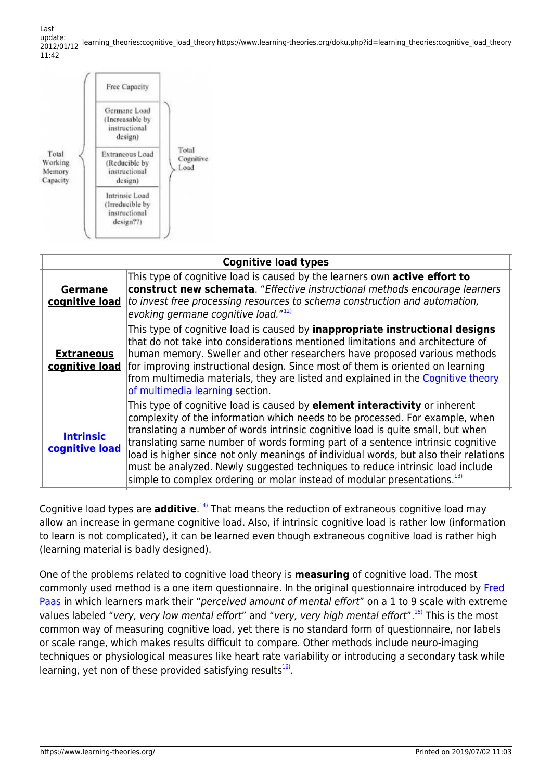Last update: 2012/01/12 learning\_theories:cognitive\_load\_theory https://www.learning-theories.org/doku.php?id=learning\_theories:cognitive\_load\_theory 11:42

|                                        | Free Capacity                                                   | Total<br>Load | Cognitive |
|----------------------------------------|-----------------------------------------------------------------|---------------|-----------|
|                                        | Germane Load<br>(Increasable by<br>instructional<br>design)     |               |           |
| Total<br>Working<br>Memory<br>Capacity | Extraneous Load<br>(Reducible by<br>instructional<br>design)    |               |           |
|                                        | Intrinsic Load<br>(Irreducible by<br>instructional<br>design??) |               |           |

| <b>Cognitive load types</b>         |                                                                                                                                                                                                                                                                                                                                                                                                                                                                                                                                                                                                          |  |  |  |  |  |
|-------------------------------------|----------------------------------------------------------------------------------------------------------------------------------------------------------------------------------------------------------------------------------------------------------------------------------------------------------------------------------------------------------------------------------------------------------------------------------------------------------------------------------------------------------------------------------------------------------------------------------------------------------|--|--|--|--|--|
| <b>Germane</b><br>cognitive load    | This type of cognitive load is caused by the learners own active effort to<br>construct new schemata. "Effective instructional methods encourage learners<br>to invest free processing resources to schema construction and automation,<br>evoking germane cognitive load." $^{12)}$                                                                                                                                                                                                                                                                                                                     |  |  |  |  |  |
| <b>Extraneous</b><br>cognitive load | This type of cognitive load is caused by <i>inappropriate instructional designs</i><br>that do not take into considerations mentioned limitations and architecture of<br>human memory. Sweller and other researchers have proposed various methods<br>for improving instructional design. Since most of them is oriented on learning<br>from multimedia materials, they are listed and explained in the Cognitive theory<br>of multimedia learning section.                                                                                                                                              |  |  |  |  |  |
| <b>Intrinsic</b><br>cognitive load  | This type of cognitive load is caused by <b>element interactivity</b> or inherent<br>complexity of the information which needs to be processed. For example, when<br>translating a number of words intrinsic cognitive load is quite small, but when<br>translating same number of words forming part of a sentence intrinsic cognitive<br>load is higher since not only meanings of individual words, but also their relations<br>must be analyzed. Newly suggested techniques to reduce intrinsic load include<br>simple to complex ordering or molar instead of modular presentations. <sup>13)</sup> |  |  |  |  |  |

Cognitive load types are **additive**.<sup>[14\)](#page--1-0)</sup> That means the reduction of extraneous cognitive load may allow an increase in germane cognitive load. Also, if intrinsic cognitive load is rather low (information to learn is not complicated), it can be learned even though extraneous cognitive load is rather high (learning material is badly designed).

One of the problems related to cognitive load theory is **measuring** of cognitive load. The most commonly used method is a one item questionnaire. In the original questionnaire introduced by [Fred](http://www.ou.nl/eCache/DEF/18/182.html) [Paas](http://www.ou.nl/eCache/DEF/18/182.html) in which learners mark their "perceived amount of mental effort" on a 1 to 9 scale with extreme values labeled "very, very low mental effort" and "very, very high mental effort".<sup>[15\)](#page--1-0)</sup> This is the most common way of measuring cognitive load, yet there is no standard form of questionnaire, nor labels or scale range, which makes results difficult to compare. Other methods include neuro-imaging techniques or physiological measures like heart rate variability or introducing a secondary task while learning, yet non of these provided satisfying results<sup>[16\)](#page--1-0)</sup>.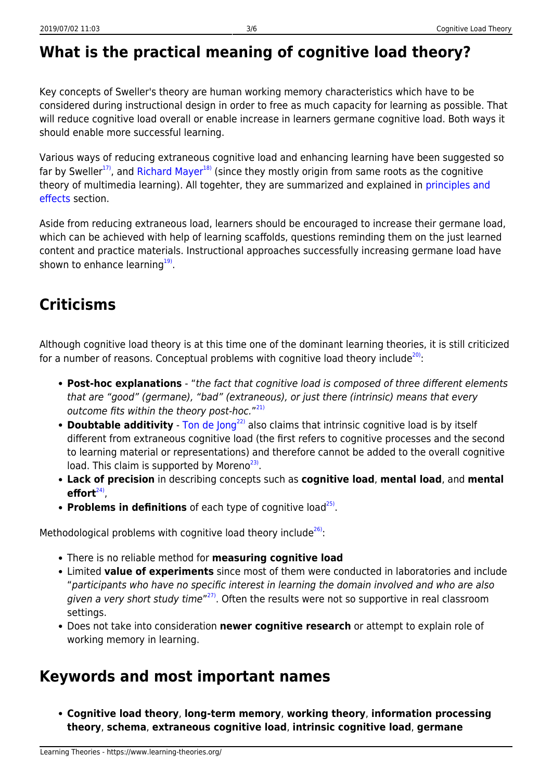### **What is the practical meaning of cognitive load theory?**

Key concepts of Sweller's theory are human working memory characteristics which have to be considered during instructional design in order to free as much capacity for learning as possible. That will reduce cognitive load overall or enable increase in learners germane cognitive load. Both ways it should enable more successful learning.

Various ways of reducing extraneous cognitive load and enhancing learning have been suggested so far by Sweller<sup>[17\)](#page--1-0)</sup>, and [Richard Mayer](http://www.psych.ucsb.edu/people/faculty/mayer/index.php)<sup>[18\)](#page--1-0)</sup> (since they mostly origin from same roots as the cognitive theory of multimedia learning). All togehter, they are summarized and explained in [principles and](https://www.learning-theories.org/doku.php?id=research_results:principles_and_effects) [effects](https://www.learning-theories.org/doku.php?id=research_results:principles_and_effects) section.

Aside from reducing extraneous load, learners should be encouraged to increase their germane load, which can be achieved with help of learning scaffolds, questions reminding them on the just learned content and practice materials. Instructional approaches successfully increasing germane load have shown to enhance learning<sup>[19\)](#page--1-0)</sup>.

## **Criticisms**

Although cognitive load theory is at this time one of the dominant learning theories, it is still criticized for a number of reasons. Conceptual problems with cognitive load theory include $^{20}$ :

- **Post-hoc explanations** "the fact that cognitive load is composed of three different elements that are "good" (germane), "bad" (extraneous), or just there (intrinsic) means that every outcome fits within the theory post-hoc."<sup>[21\)](#page--1-0)</sup>
- **Doubtable additivity** [Ton de Jong](http://users.edte.utwente.nl/jong/)<sup>[22\)](#page--1-0)</sup> also claims that intrinsic cognitive load is by itself different from extraneous cognitive load (the first refers to cognitive processes and the second to learning material or representations) and therefore cannot be added to the overall cognitive load. This claim is supported by Moreno<sup>[23\)](#page--1-0)</sup>.
- **Lack of precision** in describing concepts such as **cognitive load**, **mental load**, and **mental** effort<sup>[24\)](#page--1-0)</sup>,
- Problems in definitions of each type of cognitive load<sup>[25\)](#page--1-0)</sup>.

Methodological problems with cognitive load theory include $^{26}$ :

- There is no reliable method for **measuring cognitive load**
- Limited **value of experiments** since most of them were conducted in laboratories and include "participants who have no specific interest in learning the domain involved and who are also given a very short study time"<sup>[27\)](#page--1-0)</sup>. Often the results were not so supportive in real classroom settings.
- Does not take into consideration **newer cognitive research** or attempt to explain role of working memory in learning.

#### **Keywords and most important names**

**Cognitive load theory**, **long-term memory**, **working theory**, **information processing theory**, **schema**, **extraneous cognitive load**, **intrinsic cognitive load**, **germane**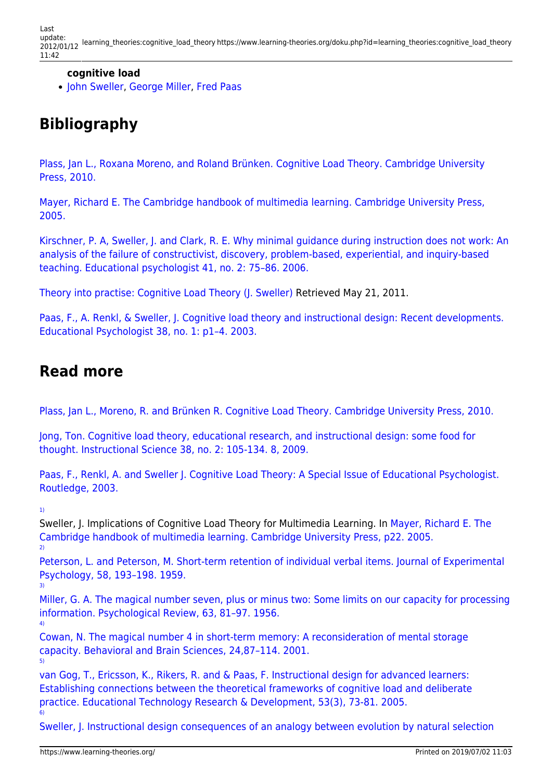Last update: 2012/01/12 learning\_theories:cognitive\_load\_theory https://www.learning-theories.org/doku.php?id=learning\_theories:cognitive\_load\_theory 11:42

#### **cognitive load**

[John Sweller](http://education.arts.unsw.edu.au/staff/john-sweller-726.html), [George Miller,](http://www.lifecircles-inc.com/Learningtheories/IP/GAMiller.html) [Fred Paas](http://www.ou.nl/eCache/DEF/18/182.html)

### **Bibliography**

[Plass, Jan L., Roxana Moreno, and Roland Brünken. Cognitive Load Theory. Cambridge University](http://books.google.hr/books?id=mFJe8ZnAb3EC&printsec=frontcover#v=onepage&q&f=false) [Press, 2010.](http://books.google.hr/books?id=mFJe8ZnAb3EC&printsec=frontcover#v=onepage&q&f=false)

[Mayer, Richard E. The Cambridge handbook of multimedia learning. Cambridge University Press,](http://www.google.com/books?id=duWx8fxkkk0C&printsec=frontcover#v=onepage&q&f=false) [2005.](http://www.google.com/books?id=duWx8fxkkk0C&printsec=frontcover#v=onepage&q&f=false)

[Kirschner, P. A, Sweller, J. and Clark, R. E. Why minimal guidance during instruction does not work: An](http://www.cogtech.usc.edu/publications/kirschner_Sweller_Clark.pdf) [analysis of the failure of constructivist, discovery, problem-based, experiential, and inquiry-based](http://www.cogtech.usc.edu/publications/kirschner_Sweller_Clark.pdf) [teaching. Educational psychologist 41, no. 2: 75–86. 2006.](http://www.cogtech.usc.edu/publications/kirschner_Sweller_Clark.pdf)

[Theory into practise: Cognitive Load Theory \(J. Sweller\)](http://tip.psychology.org/sweller.html) Retrieved May 21, 2011.

[Paas, F., A. Renkl, & Sweller, J. Cognitive load theory and instructional design: Recent developments.](http://www.uky.edu/~gmswan3/544/Cognitive_Load_&_ID.pdf) [Educational Psychologist 38, no. 1: p1–4. 2003.](http://www.uky.edu/~gmswan3/544/Cognitive_Load_&_ID.pdf)

#### **Read more**

[Plass, Jan L., Moreno, R. and Brünken R. Cognitive Load Theory. Cambridge University Press, 2010.](http://books.google.hr/books?id=mFJe8ZnAb3EC&printsec=frontcover#v=onepage&q&f=false)

[Jong, Ton. Cognitive load theory, educational research, and instructional design: some food for](http://www.springerlink.com/content/4060516n357576j7/fulltext.pdf) [thought. Instructional Science 38, no. 2: 105-134. 8, 2009.](http://www.springerlink.com/content/4060516n357576j7/fulltext.pdf)

[Paas, F., Renkl, A. and Sweller J. Cognitive Load Theory: A Special Issue of Educational Psychologist.](http://books.google.hr/books?id=DCcSZ7GC8lAC&pg=PA12&lpg=PA12&dq=Paas,+F.,+Renkl,+A.+and+Sweller+J.+Cognitive+Load+Theory:+A+Special+Issue+of+Educational+Psychologist&source=bl&ots=3rJz3_Atn4&sig=_4oYT82NHGkrqUJCh1yL1E1Nl9g&hl=hr&ei=0cFrTeWNGNSx8QOW1_DxBw&sa=X&oi=book_result&ct=result&resnum=2&ved=0CCMQ6AEwAQ#v=onepage&q&f=false) [Routledge, 2003.](http://books.google.hr/books?id=DCcSZ7GC8lAC&pg=PA12&lpg=PA12&dq=Paas,+F.,+Renkl,+A.+and+Sweller+J.+Cognitive+Load+Theory:+A+Special+Issue+of+Educational+Psychologist&source=bl&ots=3rJz3_Atn4&sig=_4oYT82NHGkrqUJCh1yL1E1Nl9g&hl=hr&ei=0cFrTeWNGNSx8QOW1_DxBw&sa=X&oi=book_result&ct=result&resnum=2&ved=0CCMQ6AEwAQ#v=onepage&q&f=false)

[1\)](#page--1-0)

[5\)](#page--1-0)

Sweller, J. Implications of Cognitive Load Theory for Multimedia Learning. In [Mayer, Richard E. The](http://books.google.hr/books?id=duWx8fxkkk0C&pg=PA22&dq=Instructional+designs+that+ignore+working+memory+limitations+are+likely+to+be+random+in+their+effectiveness&hl=hr&ei=6ySHTaz9LI7CswbUqcmNAw&sa=X&oi=book_result&ct=result&resnum=1&ved=0CCgQ6AEwAA#v=onepage&q=Instructional%20designs%20that%20ignore%20working%20memory%20limitations%20are%20likely%20to%20be%20random%20in%20their%20effectiveness&f=false) [Cambridge handbook of multimedia learning. Cambridge University Press, p22. 2005.](http://books.google.hr/books?id=duWx8fxkkk0C&pg=PA22&dq=Instructional+designs+that+ignore+working+memory+limitations+are+likely+to+be+random+in+their+effectiveness&hl=hr&ei=6ySHTaz9LI7CswbUqcmNAw&sa=X&oi=book_result&ct=result&resnum=1&ved=0CCgQ6AEwAA#v=onepage&q=Instructional%20designs%20that%20ignore%20working%20memory%20limitations%20are%20likely%20to%20be%20random%20in%20their%20effectiveness&f=false)  $\overline{2}$ 

[Peterson, L. and Peterson, M. Short-term retention of individual verbal items. Journal of Experimental](http://www.ncbi.nlm.nih.gov/pubmed/14432252) [Psychology, 58, 193–198. 1959.](http://www.ncbi.nlm.nih.gov/pubmed/14432252) [3\)](#page--1-0)

[Miller, G. A. The magical number seven, plus or minus two: Some limits on our capacity for processing](http://cogprints.org/730/1/miller.html) [information. Psychological Review, 63, 81–97. 1956.](http://cogprints.org/730/1/miller.html) [4\)](#page--1-0)

[Cowan, N. The magical number 4 in short-term memory: A reconsideration of mental storage](ftp://ftp.cis.upenn.edu/pub/cse140/public_html/2002/Cowan.pdf) [capacity. Behavioral and Brain Sciences, 24,87–114. 2001.](ftp://ftp.cis.upenn.edu/pub/cse140/public_html/2002/Cowan.pdf)

[van Gog, T., Ericsson, K., Rikers, R. and & Paas, F. Instructional design for advanced learners:](http://institute.nsta.org/scipack_research/instruct_design_advanced_learners_establishing_connections_etrd7.pdf) [Establishing connections between the theoretical frameworks of cognitive load and deliberate](http://institute.nsta.org/scipack_research/instruct_design_advanced_learners_establishing_connections_etrd7.pdf) [practice. Educational Technology Research & Development, 53\(3\), 73-81. 2005.](http://institute.nsta.org/scipack_research/instruct_design_advanced_learners_establishing_connections_etrd7.pdf) [6\)](#page--1-0)

[Sweller, J. Instructional design consequences of an analogy between evolution by natural selection](http://users.cdli.ca/bmann/0_ARTICLES/CogLoad_Sweller04.pdf)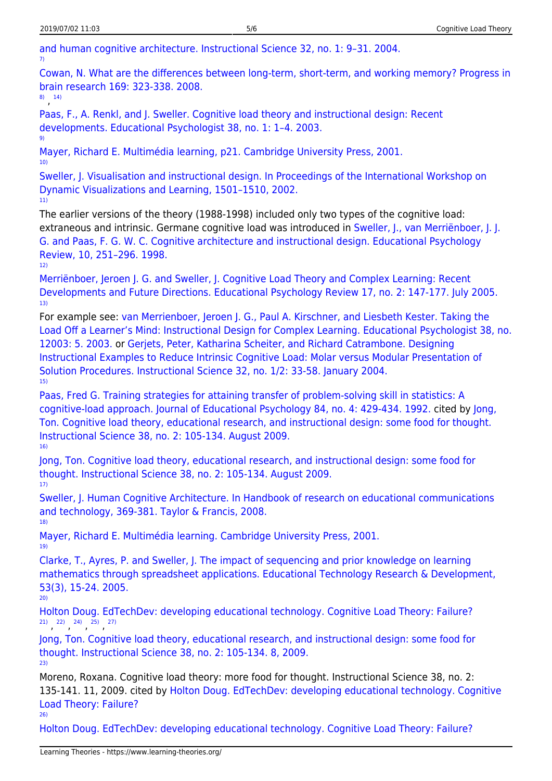[and human cognitive architecture. Instructional Science 32, no. 1: 9–31. 2004.](http://users.cdli.ca/bmann/0_ARTICLES/CogLoad_Sweller04.pdf)

[Cowan, N. What are the differences between long-term, short-term, and working memory? Progress in](http://web.missouri.edu/~cowann/documents/Cowan2008progressinbrainresearchSTMLTM.pdf) [brain research 169: 323-338. 2008.](http://web.missouri.edu/~cowann/documents/Cowan2008progressinbrainresearchSTMLTM.pdf)

[8\)](#page--1-0) , [14\)](#page--1-0)

[7\)](#page--1-0)

[Paas, F., A. Renkl, and J. Sweller. Cognitive load theory and instructional design: Recent](http://www.uky.edu/~gmswan3/544/Cognitive_Load_&_ID.pdf) [developments. Educational Psychologist 38, no. 1: 1–4. 2003.](http://www.uky.edu/~gmswan3/544/Cognitive_Load_&_ID.pdf) [9\)](#page--1-0)

[Mayer, Richard E. Multimédia learning, p21. Cambridge University Press, 2001.](http://books.google.hr/books?id=ymJ9o-w_6WEC&printsec=frontcover&dq=Mayer,+Richard+E.+Multim%C3%A9dia+learning&hl=hr&ei=XMNrTeSmG43ItAbaprn3DA&sa=X&oi=book_result&ct=result&resnum=1&ved=0CCcQ6AEwAA#v=onepage&q&f=false) [10\)](#page--1-0)

[Sweller, J. Visualisation and instructional design. In Proceedings of the International Workshop on](http://www.cmu.edu/teaching/trynew/sweller-visualinstructionaldesign.pdf) [Dynamic Visualizations and Learning, 1501–1510, 2002.](http://www.cmu.edu/teaching/trynew/sweller-visualinstructionaldesign.pdf) [11\)](#page--1-0)

The earlier versions of the theory (1988-1998) included only two types of the cognitive load: extraneous and intrinsic. Germane cognitive load was introduced in [Sweller, J., van Merriënboer, J. J.](http://www.scribd.com/doc/47751/Sweller-Cognitive-Load-Theory-and-Instructional-Design) [G. and Paas, F. G. W. C. Cognitive architecture and instructional design. Educational Psychology](http://www.scribd.com/doc/47751/Sweller-Cognitive-Load-Theory-and-Instructional-Design) [Review, 10, 251–296. 1998.](http://www.scribd.com/doc/47751/Sweller-Cognitive-Load-Theory-and-Instructional-Design) [12\)](#page--1-0)

[Merriënboer, Jeroen J. G. and Sweller, J. Cognitive Load Theory and Complex Learning: Recent](http://elkedagopendag.nl/Docs/Expertise/OTEC/Publicaties/jeroen%20van%20merrienboer/VanMerrienboerSweller.pdf) [Developments and Future Directions. Educational Psychology Review 17, no. 2: 147-177. July 2005.](http://elkedagopendag.nl/Docs/Expertise/OTEC/Publicaties/jeroen%20van%20merrienboer/VanMerrienboerSweller.pdf) [13\)](#page--1-0)

For example see: [van Merrienboer, Jeroen J. G., Paul A. Kirschner, and Liesbeth Kester. Taking the](http://ou-nl.academia.edu/PaulKirschner/Papers/281917/Taking_the_Load_Off_a_Learners_Mind_Instructional_Design_for_Complex_Learning) [Load Off a Learner's Mind: Instructional Design for Complex Learning. Educational Psychologist 38, no.](http://ou-nl.academia.edu/PaulKirschner/Papers/281917/Taking_the_Load_Off_a_Learners_Mind_Instructional_Design_for_Complex_Learning) [12003: 5. 2003.](http://ou-nl.academia.edu/PaulKirschner/Papers/281917/Taking_the_Load_Off_a_Learners_Mind_Instructional_Design_for_Complex_Learning) or [Gerjets, Peter, Katharina Scheiter, and Richard Catrambone. Designing](http://www.springerlink.com/index/JL14Q60710WN5088.pdf) [Instructional Examples to Reduce Intrinsic Cognitive Load: Molar versus Modular Presentation of](http://www.springerlink.com/index/JL14Q60710WN5088.pdf) [Solution Procedures. Instructional Science 32, no. 1/2: 33-58. January 2004.](http://www.springerlink.com/index/JL14Q60710WN5088.pdf) [15\)](#page--1-0)

[Paas, Fred G. Training strategies for attaining transfer of problem-solving skill in statistics: A](http://psycnet.apa.org/index.cfm?fa=buy.optionToBuy&id=1993-13061-001) [cognitive-load approach. Journal of Educational Psychology 84, no. 4: 429-434. 1992.](http://psycnet.apa.org/index.cfm?fa=buy.optionToBuy&id=1993-13061-001) cited by [Jong,](http://www.springerlink.com/content/4060516n357576j7/fulltext.pdf) [Ton. Cognitive load theory, educational research, and instructional design: some food for thought.](http://www.springerlink.com/content/4060516n357576j7/fulltext.pdf) [Instructional Science 38, no. 2: 105-134. August 2009.](http://www.springerlink.com/content/4060516n357576j7/fulltext.pdf) [16\)](#page--1-0)

[Jong, Ton. Cognitive load theory, educational research, and instructional design: some food for](http://www.springerlink.com/content/4060516n357576j7/fulltext.pdf) [thought. Instructional Science 38, no. 2: 105-134. August 2009.](http://www.springerlink.com/content/4060516n357576j7/fulltext.pdf) [17\)](#page--1-0)

[Sweller, J. Human Cognitive Architecture. In Handbook of research on educational communications](http://www.csuchico.edu/~nschwartz/Sweller_2008.pdf) [and technology, 369-381. Taylor & Francis, 2008.](http://www.csuchico.edu/~nschwartz/Sweller_2008.pdf) [18\)](#page--1-0)

[Mayer, Richard E. Multimédia learning. Cambridge University Press, 2001.](http://books.google.hr/books?id=ymJ9o-w_6WEC&printsec=frontcover&dq=Mayer,+Richard+E.+Multim%C3%A9dia+learning&hl=hr&ei=XMNrTeSmG43ItAbaprn3DA&sa=X&oi=book_result&ct=result&resnum=1&ved=0CCcQ6AEwAA#v=onepage&q&f=false) [19\)](#page--1-0)

[Clarke, T., Ayres, P. and Sweller, J. The impact of sequencing and prior knowledge on learning](http://institute.nsta.org/scipack_research/impact_sequencing_prior_knowledge_on_learning_etrd2.pdf) [mathematics through spreadsheet applications. Educational Technology Research & Development,](http://institute.nsta.org/scipack_research/impact_sequencing_prior_knowledge_on_learning_etrd2.pdf) [53\(3\), 15-24. 2005.](http://institute.nsta.org/scipack_research/impact_sequencing_prior_knowledge_on_learning_etrd2.pdf) [20\)](#page--1-0)

[Holton Doug. EdTechDev: developing educational technology. Cognitive Load Theory: Failure?](http://edtechdev.wordpress.com/2009/11/16/cognitive-load-theory-failure/) [21\)](#page--1-0) [22\)](#page--1-0) [24\)](#page--1-0) [25\)](#page--1-0) [27\)](#page--1-0)<br>*I I I I I* 

[Jong, Ton. Cognitive load theory, educational research, and instructional design: some food for](http://www.springerlink.com/content/4060516n357576j7/fulltext.pdf) [thought. Instructional Science 38, no. 2: 105-134. 8, 2009.](http://www.springerlink.com/content/4060516n357576j7/fulltext.pdf) [23\)](#page--1-0)

Moreno, Roxana. Cognitive load theory: more food for thought. Instructional Science 38, no. 2: 135-141. 11, 2009. cited by [Holton Doug. EdTechDev: developing educational technology. Cognitive](http://edtechdev.wordpress.com/2009/11/16/cognitive-load-theory-failure/) [Load Theory: Failure?](http://edtechdev.wordpress.com/2009/11/16/cognitive-load-theory-failure/) [26\)](#page--1-0)

[Holton Doug. EdTechDev: developing educational technology. Cognitive Load Theory: Failure?](http://edtechdev.wordpress.com/2009/11/16/cognitive-load-theory-failure/)